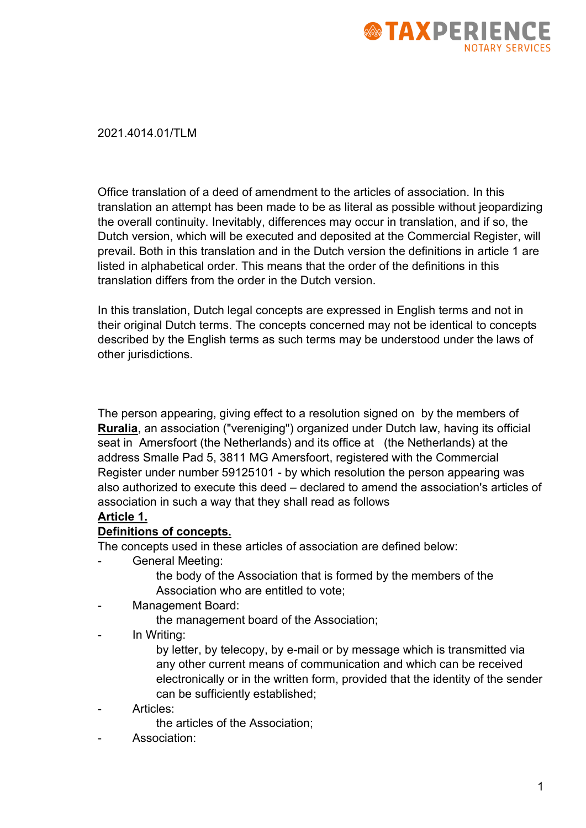

2021.4014.01/TLM

Office translation of a deed of amendment to the articles of association. In this translation an attempt has been made to be as literal as possible without jeopardizing the overall continuity. Inevitably, differences may occur in translation, and if so, the Dutch version, which will be executed and deposited at the Commercial Register, will prevail. Both in this translation and in the Dutch version the definitions in article 1 are listed in alphabetical order. This means that the order of the definitions in this translation differs from the order in the Dutch version.

In this translation. Dutch legal concepts are expressed in English terms and not in their original Dutch terms. The concepts concerned may not be identical to concepts described by the English terms as such terms may be understood under the laws of other jurisdictions.

The person appearing, giving effect to a resolution signed on by the members of **Ruralia**, an association ("vereniging") organized under Dutch law, having its official seat in Amersfoort (the Netherlands) and its office at (the Netherlands) at the address Smalle Pad 5, 3811 MG Amersfoort, registered with the Commercial Register under number 59125101 - by which resolution the person appearing was also authorized to execute this deed – declared to amend the association's articles of association in such a way that they shall read as follows

#### **Article 1.**

#### **Definitions of concepts.**

The concepts used in these articles of association are defined below:

General Meeting:

the body of the Association that is formed by the members of the Association who are entitled to vote;

Management Board:

the management board of the Association;

- In Writing:

by letter, by telecopy, by e-mail or by message which is transmitted via any other current means of communication and which can be received electronically or in the written form, provided that the identity of the sender can be sufficiently established;

Articles:

the articles of the Association;

Association: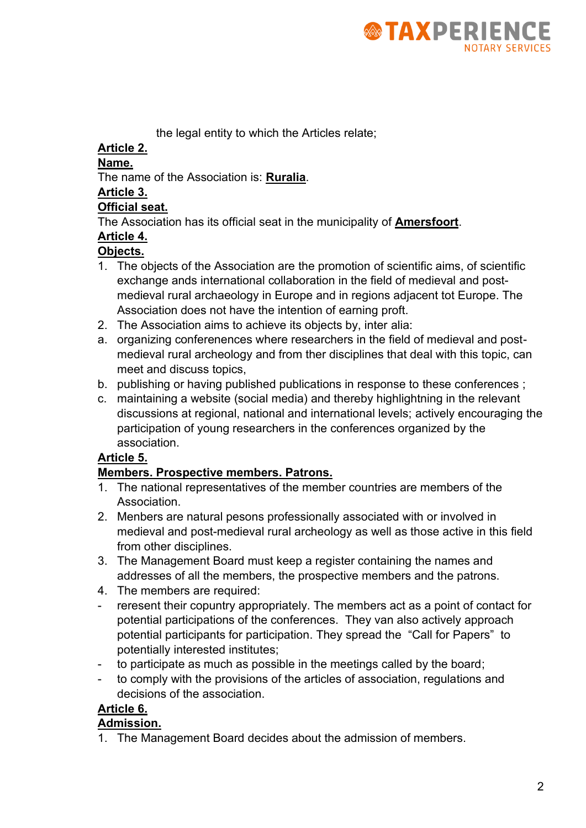

the legal entity to which the Articles relate;

# **Article 2.**

#### **Name.**

The name of the Association is: **Ruralia**.

#### **Article 3.**

#### **Official seat.**

The Association has its official seat in the municipality of **Amersfoort**.

# **Article 4.**

# **Objects.**

- 1. The objects of the Association are the promotion of scientific aims, of scientific exchange ands international collaboration in the field of medieval and postmedieval rural archaeology in Europe and in regions adjacent tot Europe. The Association does not have the intention of earning proft.
- 2. The Association aims to achieve its objects by, inter alia:
- a. organizing conferenences where researchers in the field of medieval and postmedieval rural archeology and from ther disciplines that deal with this topic, can meet and discuss topics,
- b. publishing or having published publications in response to these conferences ;
- c. maintaining a website (social media) and thereby highlightning in the relevant discussions at regional, national and international levels; actively encouraging the participation of young researchers in the conferences organized by the association.

#### **Article 5.**

# **Members. Prospective members. Patrons.**

- 1. The national representatives of the member countries are members of the Association.
- 2. Menbers are natural pesons professionally associated with or involved in medieval and post-medieval rural archeology as well as those active in this field from other disciplines.
- 3. The Management Board must keep a register containing the names and addresses of all the members, the prospective members and the patrons.
- 4. The members are required:
- reresent their copuntry appropriately. The members act as a point of contact for potential participations of the conferences. They van also actively approach potential participants for participation. They spread the "Call for Papers" to potentially interested institutes;
- to participate as much as possible in the meetings called by the board;
- to comply with the provisions of the articles of association, regulations and decisions of the association.

# **Article 6.**

#### **Admission.**

1. The Management Board decides about the admission of members.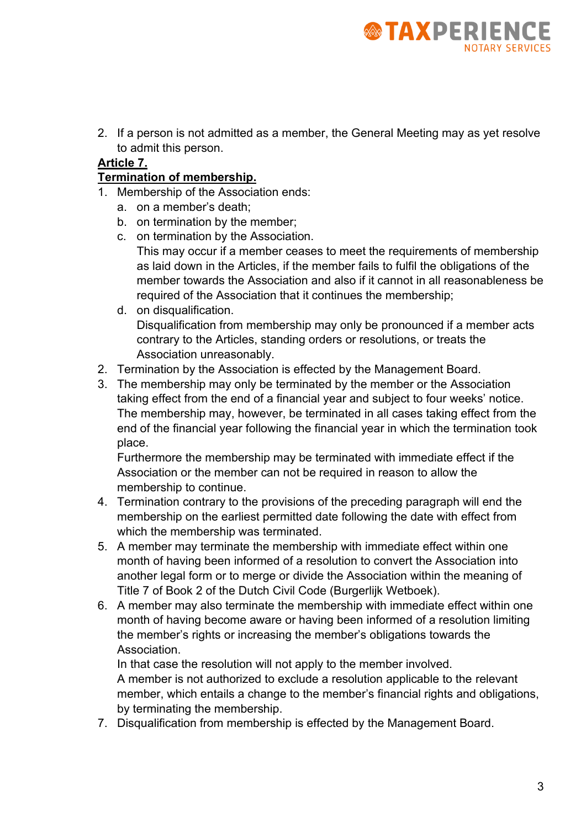

2. If a person is not admitted as a member, the General Meeting may as yet resolve to admit this person.

#### **Article 7.**

#### **Termination of membership.**

- 1. Membership of the Association ends:
	- a. on a member's death;
	- b. on termination by the member;
	- c. on termination by the Association. This may occur if a member ceases to meet the requirements of membership as laid down in the Articles, if the member fails to fulfil the obligations of the member towards the Association and also if it cannot in all reasonableness be required of the Association that it continues the membership;
	- d. on disqualification. Disqualification from membership may only be pronounced if a member acts contrary to the Articles, standing orders or resolutions, or treats the Association unreasonably.
- 2. Termination by the Association is effected by the Management Board.
- 3. The membership may only be terminated by the member or the Association taking effect from the end of a financial year and subject to four weeks' notice. The membership may, however, be terminated in all cases taking effect from the end of the financial year following the financial year in which the termination took place.

Furthermore the membership may be terminated with immediate effect if the Association or the member can not be required in reason to allow the membership to continue.

- 4. Termination contrary to the provisions of the preceding paragraph will end the membership on the earliest permitted date following the date with effect from which the membership was terminated.
- 5. A member may terminate the membership with immediate effect within one month of having been informed of a resolution to convert the Association into another legal form or to merge or divide the Association within the meaning of Title 7 of Book 2 of the Dutch Civil Code (Burgerlijk Wetboek).
- 6. A member may also terminate the membership with immediate effect within one month of having become aware or having been informed of a resolution limiting the member's rights or increasing the member's obligations towards the Association.

In that case the resolution will not apply to the member involved. A member is not authorized to exclude a resolution applicable to the relevant member, which entails a change to the member's financial rights and obligations, by terminating the membership.

7. Disqualification from membership is effected by the Management Board.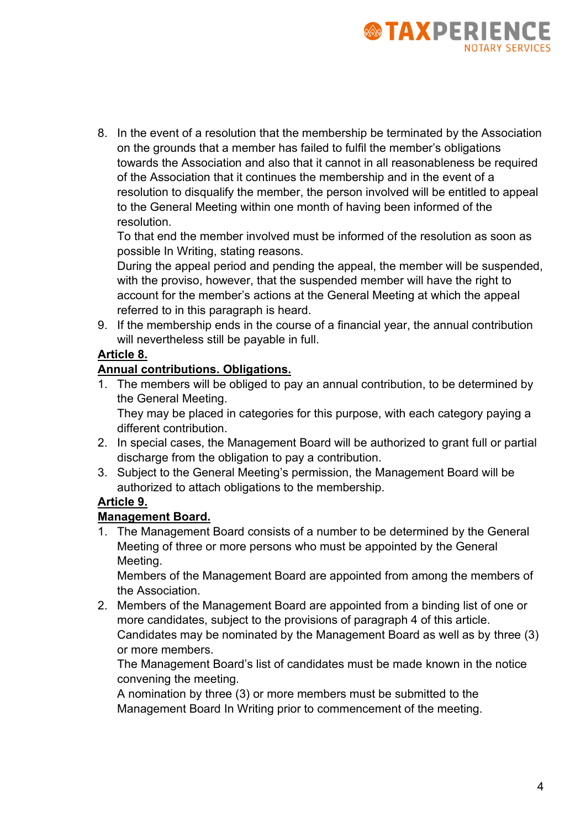

8. In the event of a resolution that the membership be terminated by the Association on the grounds that a member has failed to fulfil the member's obligations towards the Association and also that it cannot in all reasonableness be required of the Association that it continues the membership and in the event of a resolution to disqualify the member, the person involved will be entitled to appeal to the General Meeting within one month of having been informed of the resolution.

To that end the member involved must be informed of the resolution as soon as possible In Writing, stating reasons.

During the appeal period and pending the appeal, the member will be suspended, with the proviso, however, that the suspended member will have the right to account for the member's actions at the General Meeting at which the appeal referred to in this paragraph is heard.

9. If the membership ends in the course of a financial year, the annual contribution will nevertheless still be payable in full.

### **Article 8.**

#### **Annual contributions. Obligations.**

1. The members will be obliged to pay an annual contribution, to be determined by the General Meeting.

They may be placed in categories for this purpose, with each category paying a different contribution.

- 2. In special cases, the Management Board will be authorized to grant full or partial discharge from the obligation to pay a contribution.
- 3. Subject to the General Meeting's permission, the Management Board will be authorized to attach obligations to the membership.

# **Article 9.**

#### **Management Board.**

1. The Management Board consists of a number to be determined by the General Meeting of three or more persons who must be appointed by the General Meeting.

Members of the Management Board are appointed from among the members of the Association.

2. Members of the Management Board are appointed from a binding list of one or more candidates, subject to the provisions of paragraph 4 of this article. Candidates may be nominated by the Management Board as well as by three (3) or more members.

The Management Board's list of candidates must be made known in the notice convening the meeting.

A nomination by three (3) or more members must be submitted to the Management Board In Writing prior to commencement of the meeting.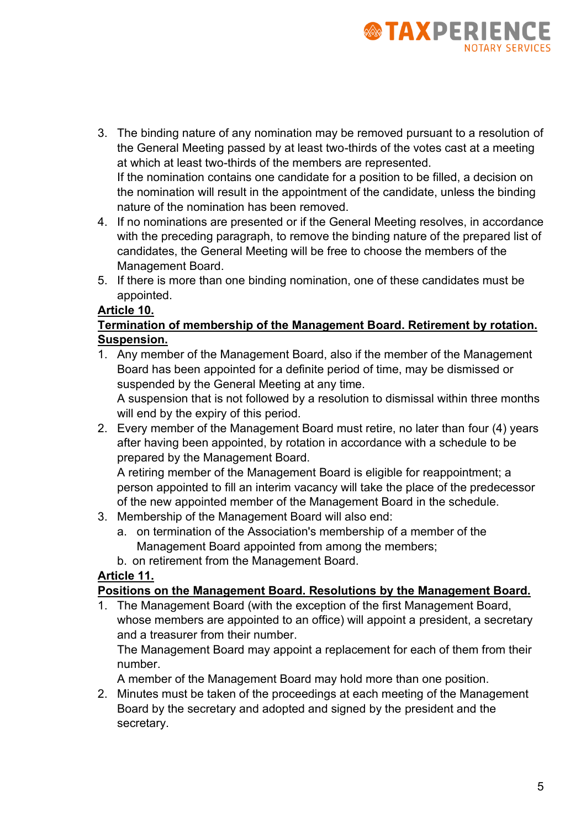

- 3. The binding nature of any nomination may be removed pursuant to a resolution of the General Meeting passed by at least two-thirds of the votes cast at a meeting at which at least two-thirds of the members are represented. If the nomination contains one candidate for a position to be filled, a decision on the nomination will result in the appointment of the candidate, unless the binding nature of the nomination has been removed.
- 4. If no nominations are presented or if the General Meeting resolves, in accordance with the preceding paragraph, to remove the binding nature of the prepared list of candidates, the General Meeting will be free to choose the members of the Management Board.
- 5. If there is more than one binding nomination, one of these candidates must be appointed.

### **Article 10.**

### **Termination of membership of the Management Board. Retirement by rotation. Suspension.**

- 1. Any member of the Management Board, also if the member of the Management Board has been appointed for a definite period of time, may be dismissed or suspended by the General Meeting at any time. A suspension that is not followed by a resolution to dismissal within three months will end by the expiry of this period.
- 2. Every member of the Management Board must retire, no later than four (4) years after having been appointed, by rotation in accordance with a schedule to be prepared by the Management Board.

A retiring member of the Management Board is eligible for reappointment; a person appointed to fill an interim vacancy will take the place of the predecessor of the new appointed member of the Management Board in the schedule.

- 3. Membership of the Management Board will also end:
	- a. on termination of the Association's membership of a member of the Management Board appointed from among the members;
	- b. on retirement from the Management Board.

# **Article 11.**

# **Positions on the Management Board. Resolutions by the Management Board.**

1. The Management Board (with the exception of the first Management Board, whose members are appointed to an office) will appoint a president, a secretary and a treasurer from their number.

The Management Board may appoint a replacement for each of them from their number.

A member of the Management Board may hold more than one position.

2. Minutes must be taken of the proceedings at each meeting of the Management Board by the secretary and adopted and signed by the president and the secretary.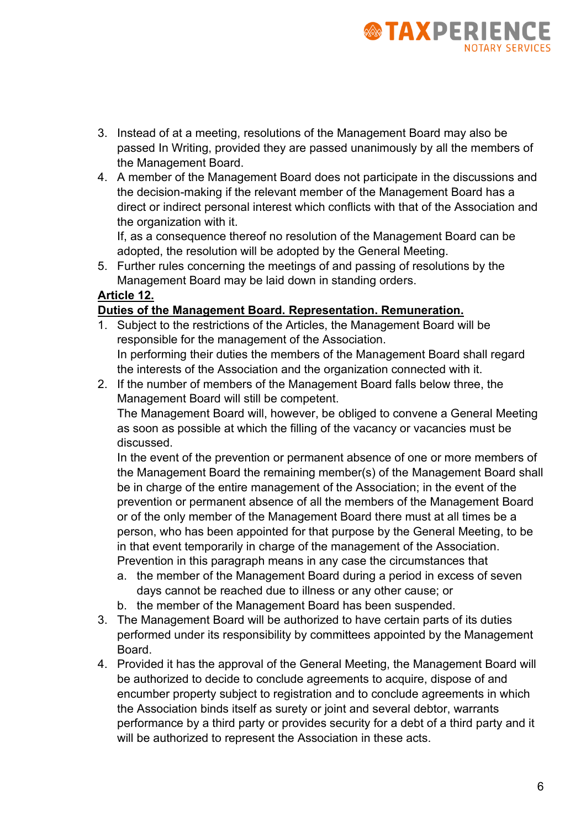

- 3. Instead of at a meeting, resolutions of the Management Board may also be passed In Writing, provided they are passed unanimously by all the members of the Management Board.
- 4. A member of the Management Board does not participate in the discussions and the decision-making if the relevant member of the Management Board has a direct or indirect personal interest which conflicts with that of the Association and the organization with it.

If, as a consequence thereof no resolution of the Management Board can be adopted, the resolution will be adopted by the General Meeting.

5. Further rules concerning the meetings of and passing of resolutions by the Management Board may be laid down in standing orders.

### **Article 12.**

#### **Duties of the Management Board. Representation. Remuneration.**

- 1. Subject to the restrictions of the Articles, the Management Board will be responsible for the management of the Association. In performing their duties the members of the Management Board shall regard the interests of the Association and the organization connected with it.
- 2. If the number of members of the Management Board falls below three, the Management Board will still be competent.

The Management Board will, however, be obliged to convene a General Meeting as soon as possible at which the filling of the vacancy or vacancies must be discussed.

In the event of the prevention or permanent absence of one or more members of the Management Board the remaining member(s) of the Management Board shall be in charge of the entire management of the Association; in the event of the prevention or permanent absence of all the members of the Management Board or of the only member of the Management Board there must at all times be a person, who has been appointed for that purpose by the General Meeting, to be in that event temporarily in charge of the management of the Association. Prevention in this paragraph means in any case the circumstances that

- a. the member of the Management Board during a period in excess of seven days cannot be reached due to illness or any other cause; or
- b. the member of the Management Board has been suspended.
- 3. The Management Board will be authorized to have certain parts of its duties performed under its responsibility by committees appointed by the Management Board.
- 4. Provided it has the approval of the General Meeting, the Management Board will be authorized to decide to conclude agreements to acquire, dispose of and encumber property subject to registration and to conclude agreements in which the Association binds itself as surety or joint and several debtor, warrants performance by a third party or provides security for a debt of a third party and it will be authorized to represent the Association in these acts.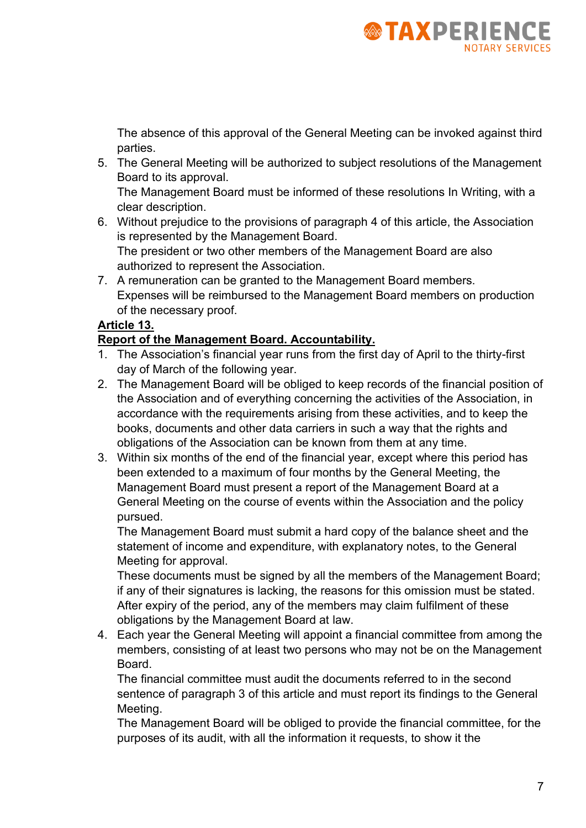

The absence of this approval of the General Meeting can be invoked against third parties.

5. The General Meeting will be authorized to subject resolutions of the Management Board to its approval.

The Management Board must be informed of these resolutions In Writing, with a clear description.

- 6. Without prejudice to the provisions of paragraph 4 of this article, the Association is represented by the Management Board. The president or two other members of the Management Board are also authorized to represent the Association.
- 7. A remuneration can be granted to the Management Board members. Expenses will be reimbursed to the Management Board members on production of the necessary proof.

# **Article 13.**

#### **Report of the Management Board. Accountability.**

- 1. The Association's financial year runs from the first day of April to the thirty-first day of March of the following year.
- 2. The Management Board will be obliged to keep records of the financial position of the Association and of everything concerning the activities of the Association, in accordance with the requirements arising from these activities, and to keep the books, documents and other data carriers in such a way that the rights and obligations of the Association can be known from them at any time.
- 3. Within six months of the end of the financial year, except where this period has been extended to a maximum of four months by the General Meeting, the Management Board must present a report of the Management Board at a General Meeting on the course of events within the Association and the policy pursued.

The Management Board must submit a hard copy of the balance sheet and the statement of income and expenditure, with explanatory notes, to the General Meeting for approval.

These documents must be signed by all the members of the Management Board; if any of their signatures is lacking, the reasons for this omission must be stated. After expiry of the period, any of the members may claim fulfilment of these obligations by the Management Board at law.

4. Each year the General Meeting will appoint a financial committee from among the members, consisting of at least two persons who may not be on the Management Board.

The financial committee must audit the documents referred to in the second sentence of paragraph 3 of this article and must report its findings to the General Meeting.

The Management Board will be obliged to provide the financial committee, for the purposes of its audit, with all the information it requests, to show it the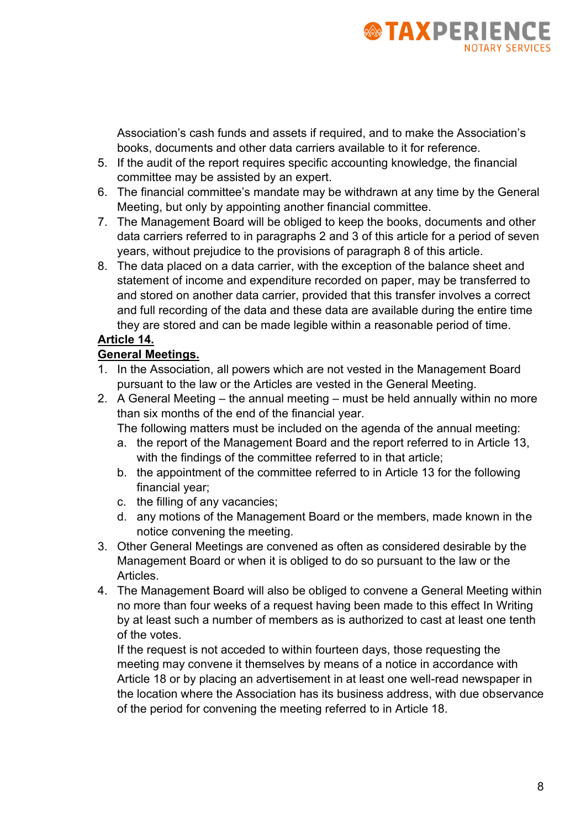

Association's cash funds and assets if required, and to make the Association's books, documents and other data carriers available to it for reference.

- 5. If the audit of the report requires specific accounting knowledge, the financial committee may be assisted by an expert.
- 6. The financial committee's mandate may be withdrawn at any time by the General Meeting, but only by appointing another financial committee.
- 7. The Management Board will be obliged to keep the books, documents and other data carriers referred to in paragraphs 2 and 3 of this article for a period of seven years, without prejudice to the provisions of paragraph 8 of this article.
- 8. The data placed on a data carrier, with the exception of the balance sheet and statement of income and expenditure recorded on paper, may be transferred to and stored on another data carrier, provided that this transfer involves a correct and full recording of the data and these data are available during the entire time they are stored and can be made legible within a reasonable period of time.

# **Article 14.**

#### **General Meetings.**

- 1. In the Association, all powers which are not vested in the Management Board pursuant to the law or the Articles are vested in the General Meeting.
- 2. A General Meeting the annual meeting must be held annually within no more than six months of the end of the financial year.

The following matters must be included on the agenda of the annual meeting:

- a. the report of the Management Board and the report referred to in Article 13, with the findings of the committee referred to in that article:
- b. the appointment of the committee referred to in Article 13 for the following financial year;
- c. the filling of any vacancies;
- d. any motions of the Management Board or the members, made known in the notice convening the meeting.
- 3. Other General Meetings are convened as often as considered desirable by the Management Board or when it is obliged to do so pursuant to the law or the Articles.
- 4. The Management Board will also be obliged to convene a General Meeting within no more than four weeks of a request having been made to this effect In Writing by at least such a number of members as is authorized to cast at least one tenth of the votes.

If the request is not acceded to within fourteen days, those requesting the meeting may convene it themselves by means of a notice in accordance with Article 18 or by placing an advertisement in at least one well-read newspaper in the location where the Association has its business address, with due observance of the period for convening the meeting referred to in Article 18.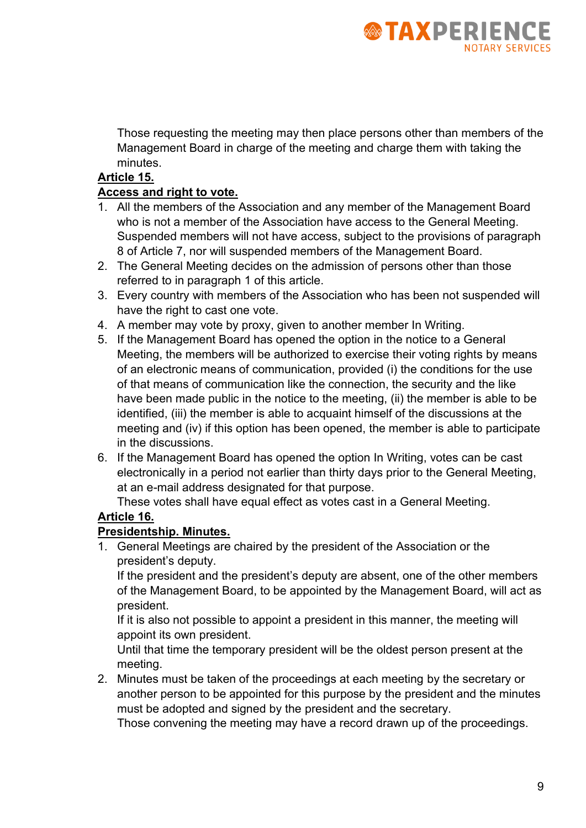

Those requesting the meeting may then place persons other than members of the Management Board in charge of the meeting and charge them with taking the minutes.

#### **Article 15.**

# **Access and right to vote.**

- 1. All the members of the Association and any member of the Management Board who is not a member of the Association have access to the General Meeting. Suspended members will not have access, subject to the provisions of paragraph 8 of Article 7, nor will suspended members of the Management Board.
- 2. The General Meeting decides on the admission of persons other than those referred to in paragraph 1 of this article.
- 3. Every country with members of the Association who has been not suspended will have the right to cast one vote.
- 4. A member may vote by proxy, given to another member In Writing.
- 5. If the Management Board has opened the option in the notice to a General Meeting, the members will be authorized to exercise their voting rights by means of an electronic means of communication, provided (i) the conditions for the use of that means of communication like the connection, the security and the like have been made public in the notice to the meeting, (ii) the member is able to be identified, (iii) the member is able to acquaint himself of the discussions at the meeting and (iv) if this option has been opened, the member is able to participate in the discussions.
- 6. If the Management Board has opened the option In Writing, votes can be cast electronically in a period not earlier than thirty days prior to the General Meeting, at an e-mail address designated for that purpose.

These votes shall have equal effect as votes cast in a General Meeting.

# **Article 16.**

#### **Presidentship. Minutes.**

1. General Meetings are chaired by the president of the Association or the president's deputy.

If the president and the president's deputy are absent, one of the other members of the Management Board, to be appointed by the Management Board, will act as president.

If it is also not possible to appoint a president in this manner, the meeting will appoint its own president.

Until that time the temporary president will be the oldest person present at the meeting.

2. Minutes must be taken of the proceedings at each meeting by the secretary or another person to be appointed for this purpose by the president and the minutes must be adopted and signed by the president and the secretary.

Those convening the meeting may have a record drawn up of the proceedings.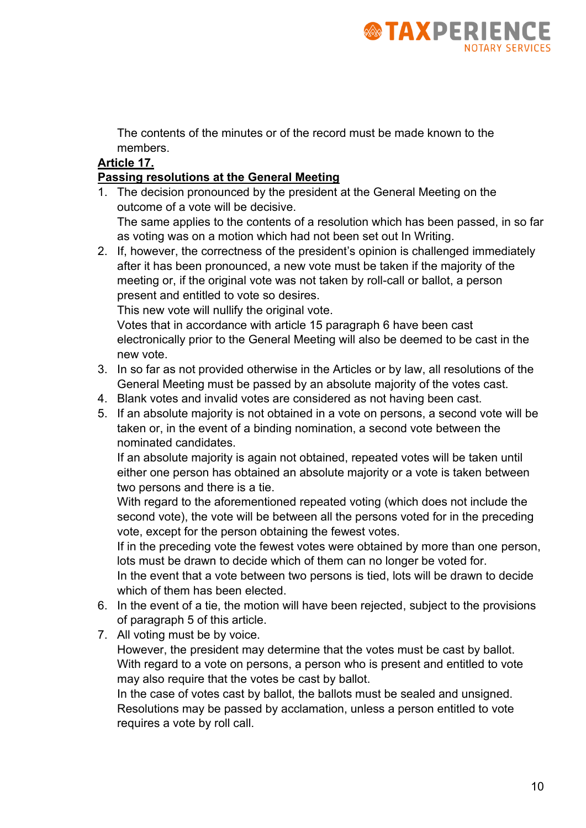

The contents of the minutes or of the record must be made known to the members.

#### **Article 17.**

#### **Passing resolutions at the General Meeting**

- 1. The decision pronounced by the president at the General Meeting on the outcome of a vote will be decisive. The same applies to the contents of a resolution which has been passed, in so far as voting was on a motion which had not been set out In Writing.
- 2. If, however, the correctness of the president's opinion is challenged immediately after it has been pronounced, a new vote must be taken if the majority of the meeting or, if the original vote was not taken by roll-call or ballot, a person present and entitled to vote so desires.

This new vote will nullify the original vote.

Votes that in accordance with article 15 paragraph 6 have been cast electronically prior to the General Meeting will also be deemed to be cast in the new vote.

- 3. In so far as not provided otherwise in the Articles or by law, all resolutions of the General Meeting must be passed by an absolute majority of the votes cast.
- 4. Blank votes and invalid votes are considered as not having been cast.
- 5. If an absolute majority is not obtained in a vote on persons, a second vote will be taken or, in the event of a binding nomination, a second vote between the nominated candidates.

If an absolute majority is again not obtained, repeated votes will be taken until either one person has obtained an absolute majority or a vote is taken between two persons and there is a tie.

With regard to the aforementioned repeated voting (which does not include the second vote), the vote will be between all the persons voted for in the preceding vote, except for the person obtaining the fewest votes.

If in the preceding vote the fewest votes were obtained by more than one person, lots must be drawn to decide which of them can no longer be voted for.

In the event that a vote between two persons is tied, lots will be drawn to decide which of them has been elected.

- 6. In the event of a tie, the motion will have been rejected, subject to the provisions of paragraph 5 of this article.
- 7. All voting must be by voice.

However, the president may determine that the votes must be cast by ballot. With regard to a vote on persons, a person who is present and entitled to vote may also require that the votes be cast by ballot.

In the case of votes cast by ballot, the ballots must be sealed and unsigned. Resolutions may be passed by acclamation, unless a person entitled to vote requires a vote by roll call.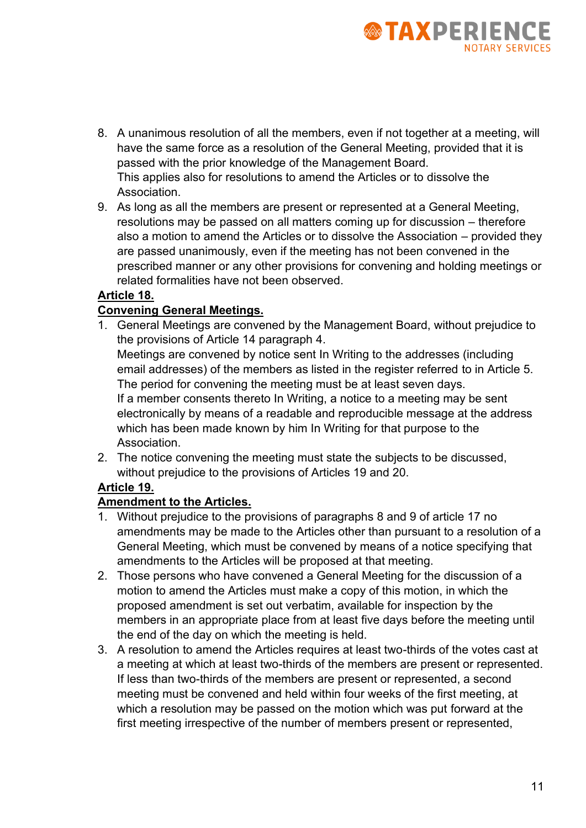

- 8. A unanimous resolution of all the members, even if not together at a meeting, will have the same force as a resolution of the General Meeting, provided that it is passed with the prior knowledge of the Management Board. This applies also for resolutions to amend the Articles or to dissolve the Association.
- 9. As long as all the members are present or represented at a General Meeting, resolutions may be passed on all matters coming up for discussion – therefore also a motion to amend the Articles or to dissolve the Association – provided they are passed unanimously, even if the meeting has not been convened in the prescribed manner or any other provisions for convening and holding meetings or related formalities have not been observed.

#### **Article 18.**

#### **Convening General Meetings.**

- 1. General Meetings are convened by the Management Board, without prejudice to the provisions of Article 14 paragraph 4. Meetings are convened by notice sent In Writing to the addresses (including email addresses) of the members as listed in the register referred to in Article 5. The period for convening the meeting must be at least seven days. If a member consents thereto In Writing, a notice to a meeting may be sent electronically by means of a readable and reproducible message at the address which has been made known by him In Writing for that purpose to the Association.
- 2. The notice convening the meeting must state the subjects to be discussed, without prejudice to the provisions of Articles 19 and 20.

#### **Article 19.**

# **Amendment to the Articles.**

- 1. Without prejudice to the provisions of paragraphs 8 and 9 of article 17 no amendments may be made to the Articles other than pursuant to a resolution of a General Meeting, which must be convened by means of a notice specifying that amendments to the Articles will be proposed at that meeting.
- 2. Those persons who have convened a General Meeting for the discussion of a motion to amend the Articles must make a copy of this motion, in which the proposed amendment is set out verbatim, available for inspection by the members in an appropriate place from at least five days before the meeting until the end of the day on which the meeting is held.
- 3. A resolution to amend the Articles requires at least two-thirds of the votes cast at a meeting at which at least two-thirds of the members are present or represented. If less than two-thirds of the members are present or represented, a second meeting must be convened and held within four weeks of the first meeting, at which a resolution may be passed on the motion which was put forward at the first meeting irrespective of the number of members present or represented,